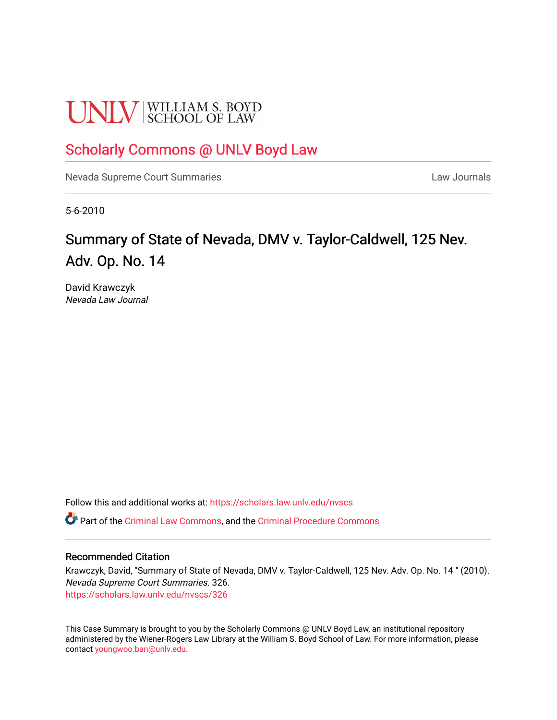# **UNLV** SCHOOL OF LAW

## [Scholarly Commons @ UNLV Boyd Law](https://scholars.law.unlv.edu/)

[Nevada Supreme Court Summaries](https://scholars.law.unlv.edu/nvscs) **Law Journals** Law Journals

5-6-2010

## Summary of State of Nevada, DMV v. Taylor-Caldwell, 125 Nev. Adv. Op. No. 14

David Krawczyk Nevada Law Journal

Follow this and additional works at: [https://scholars.law.unlv.edu/nvscs](https://scholars.law.unlv.edu/nvscs?utm_source=scholars.law.unlv.edu%2Fnvscs%2F326&utm_medium=PDF&utm_campaign=PDFCoverPages)

Part of the [Criminal Law Commons,](http://network.bepress.com/hgg/discipline/912?utm_source=scholars.law.unlv.edu%2Fnvscs%2F326&utm_medium=PDF&utm_campaign=PDFCoverPages) and the [Criminal Procedure Commons](http://network.bepress.com/hgg/discipline/1073?utm_source=scholars.law.unlv.edu%2Fnvscs%2F326&utm_medium=PDF&utm_campaign=PDFCoverPages)

#### Recommended Citation

Krawczyk, David, "Summary of State of Nevada, DMV v. Taylor-Caldwell, 125 Nev. Adv. Op. No. 14 " (2010). Nevada Supreme Court Summaries. 326. [https://scholars.law.unlv.edu/nvscs/326](https://scholars.law.unlv.edu/nvscs/326?utm_source=scholars.law.unlv.edu%2Fnvscs%2F326&utm_medium=PDF&utm_campaign=PDFCoverPages)

This Case Summary is brought to you by the Scholarly Commons @ UNLV Boyd Law, an institutional repository administered by the Wiener-Rogers Law Library at the William S. Boyd School of Law. For more information, please contact [youngwoo.ban@unlv.edu](mailto:youngwoo.ban@unlv.edu).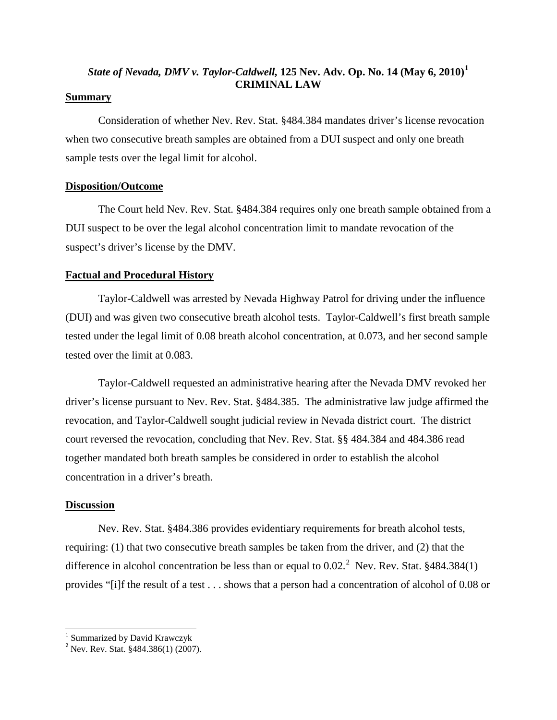### *State of Nevada, DMV v. Taylor-Caldwell,* **125 Nev. Adv. Op. No. 14 (May 6, 2010)[1](#page-1-0) CRIMINAL LAW**

#### **Summary**

Consideration of whether Nev. Rev. Stat. §484.384 mandates driver's license revocation when two consecutive breath samples are obtained from a DUI suspect and only one breath sample tests over the legal limit for alcohol.

#### **Disposition/Outcome**

The Court held Nev. Rev. Stat. §484.384 requires only one breath sample obtained from a DUI suspect to be over the legal alcohol concentration limit to mandate revocation of the suspect's driver's license by the DMV.

#### **Factual and Procedural History**

Taylor-Caldwell was arrested by Nevada Highway Patrol for driving under the influence (DUI) and was given two consecutive breath alcohol tests. Taylor-Caldwell's first breath sample tested under the legal limit of 0.08 breath alcohol concentration, at 0.073, and her second sample tested over the limit at 0.083.

Taylor-Caldwell requested an administrative hearing after the Nevada DMV revoked her driver's license pursuant to Nev. Rev. Stat. §484.385. The administrative law judge affirmed the revocation, and Taylor-Caldwell sought judicial review in Nevada district court. The district court reversed the revocation, concluding that Nev. Rev. Stat. §§ 484.384 and 484.386 read together mandated both breath samples be considered in order to establish the alcohol concentration in a driver's breath.

#### **Discussion**

Nev. Rev. Stat. §484.386 provides evidentiary requirements for breath alcohol tests, requiring: (1) that two consecutive breath samples be taken from the driver, and (2) that the difference in alcohol concentration be less than or equal to  $0.02$  $0.02$ .<sup>2</sup> Nev. Rev. Stat. §484.384(1) provides "[i]f the result of a test . . . shows that a person had a concentration of alcohol of 0.08 or

<span id="page-1-0"></span><sup>&</sup>lt;sup>1</sup> Summarized by David Krawczyk

<span id="page-1-1"></span><sup>&</sup>lt;sup>2</sup> Nev. Rev. Stat.  $$484.386(1) (2007)$ .